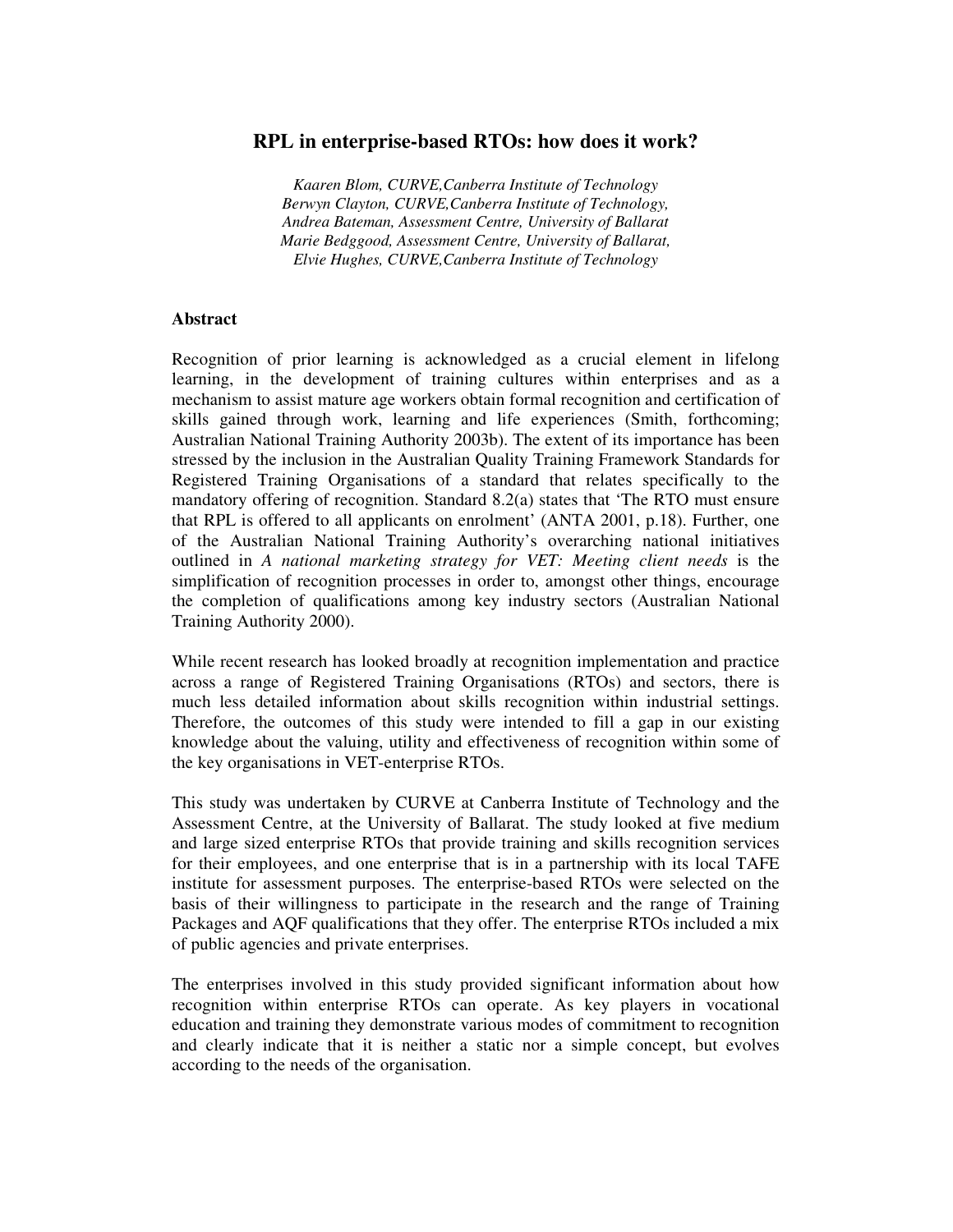## **RPL in enterprise-based RTOs: how does it work?**

*Kaaren Blom, CURVE,Canberra Institute of Technology Berwyn Clayton, CURVE,Canberra Institute of Technology, Andrea Bateman, Assessment Centre, University of Ballarat Marie Bedggood, Assessment Centre, University of Ballarat, Elvie Hughes, CURVE,Canberra Institute of Technology*

#### **Abstract**

Recognition of prior learning is acknowledged as a crucial element in lifelong learning, in the development of training cultures within enterprises and as a mechanism to assist mature age workers obtain formal recognition and certification of skills gained through work, learning and life experiences (Smith, forthcoming; Australian National Training Authority 2003b). The extent of its importance has been stressed by the inclusion in the Australian Quality Training Framework Standards for Registered Training Organisations of a standard that relates specifically to the mandatory offering of recognition. Standard 8.2(a) states that 'The RTO must ensure that RPL is offered to all applicants on enrolment' (ANTA 2001, p.18). Further, one of the Australian National Training Authority's overarching national initiatives outlined in *A national marketing strategy for VET: Meeting client needs* is the simplification of recognition processes in order to, amongst other things, encourage the completion of qualifications among key industry sectors (Australian National Training Authority 2000).

While recent research has looked broadly at recognition implementation and practice across a range of Registered Training Organisations (RTOs) and sectors, there is much less detailed information about skills recognition within industrial settings. Therefore, the outcomes of this study were intended to fill a gap in our existing knowledge about the valuing, utility and effectiveness of recognition within some of the key organisations in VET-enterprise RTOs.

This study was undertaken by CURVE at Canberra Institute of Technology and the Assessment Centre, at the University of Ballarat. The study looked at five medium and large sized enterprise RTOs that provide training and skills recognition services for their employees, and one enterprise that is in a partnership with its local TAFE institute for assessment purposes. The enterprise-based RTOs were selected on the basis of their willingness to participate in the research and the range of Training Packages and AQF qualifications that they offer. The enterprise RTOs included a mix of public agencies and private enterprises.

The enterprises involved in this study provided significant information about how recognition within enterprise RTOs can operate. As key players in vocational education and training they demonstrate various modes of commitment to recognition and clearly indicate that it is neither a static nor a simple concept, but evolves according to the needs of the organisation.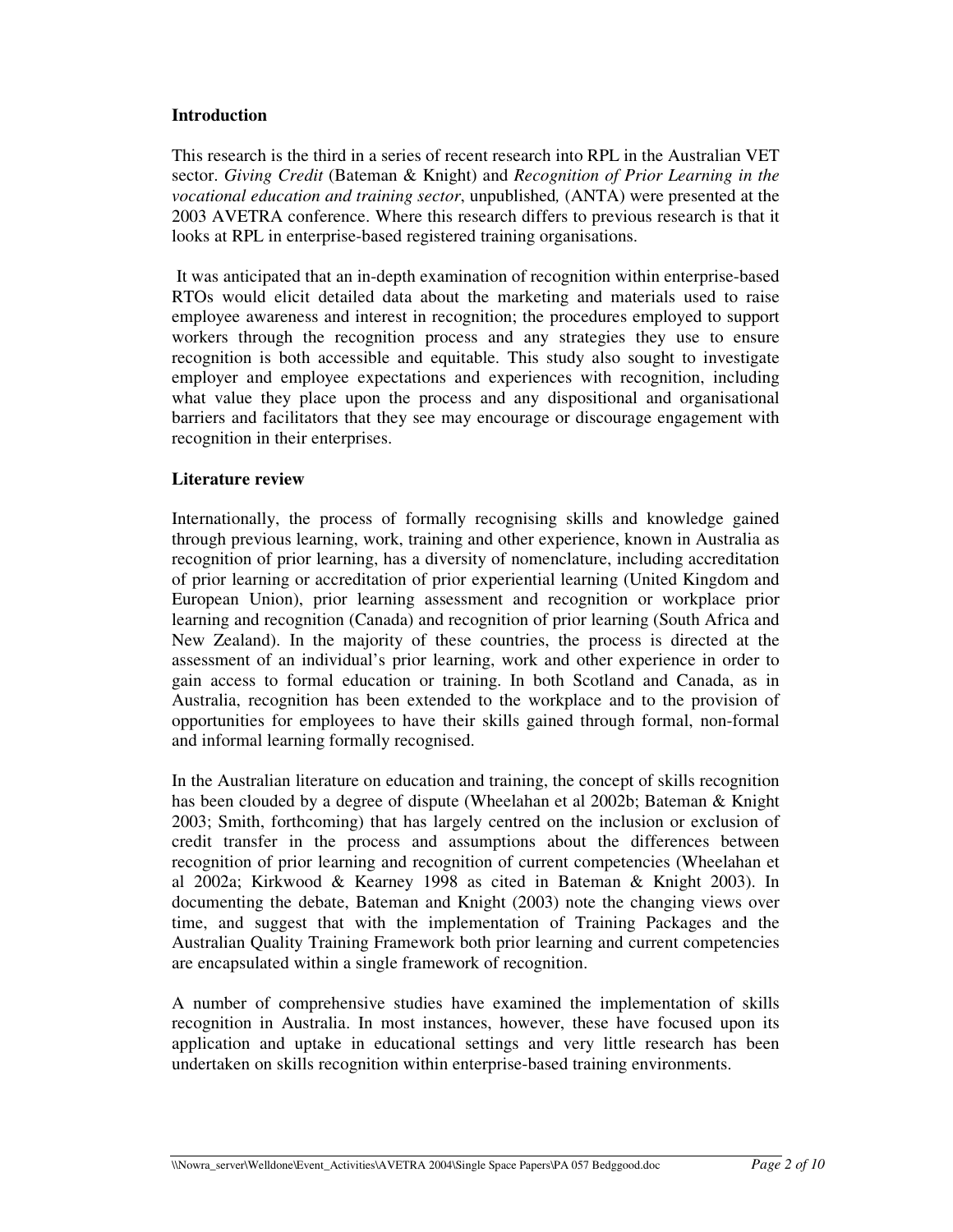### **Introduction**

This research is the third in a series of recent research into RPL in the Australian VET sector. *Giving Credit* (Bateman & Knight) and *Recognition of Prior Learning in the vocational education and training sector*, unpublished*,* (ANTA) were presented at the 2003 AVETRA conference. Where this research differs to previous research is that it looks at RPL in enterprise-based registered training organisations.

It was anticipated that an in-depth examination of recognition within enterprise-based RTOs would elicit detailed data about the marketing and materials used to raise employee awareness and interest in recognition; the procedures employed to support workers through the recognition process and any strategies they use to ensure recognition is both accessible and equitable. This study also sought to investigate employer and employee expectations and experiences with recognition, including what value they place upon the process and any dispositional and organisational barriers and facilitators that they see may encourage or discourage engagement with recognition in their enterprises.

### **Literature review**

Internationally, the process of formally recognising skills and knowledge gained through previous learning, work, training and other experience, known in Australia as recognition of prior learning, has a diversity of nomenclature, including accreditation of prior learning or accreditation of prior experiential learning (United Kingdom and European Union), prior learning assessment and recognition or workplace prior learning and recognition (Canada) and recognition of prior learning (South Africa and New Zealand). In the majority of these countries, the process is directed at the assessment of an individual's prior learning, work and other experience in order to gain access to formal education or training. In both Scotland and Canada, as in Australia, recognition has been extended to the workplace and to the provision of opportunities for employees to have their skills gained through formal, non-formal and informal learning formally recognised.

In the Australian literature on education and training, the concept of skills recognition has been clouded by a degree of dispute (Wheelahan et al 2002b; Bateman & Knight 2003; Smith, forthcoming) that has largely centred on the inclusion or exclusion of credit transfer in the process and assumptions about the differences between recognition of prior learning and recognition of current competencies (Wheelahan et al 2002a; Kirkwood & Kearney 1998 as cited in Bateman & Knight 2003). In documenting the debate, Bateman and Knight (2003) note the changing views over time, and suggest that with the implementation of Training Packages and the Australian Quality Training Framework both prior learning and current competencies are encapsulated within a single framework of recognition.

A number of comprehensive studies have examined the implementation of skills recognition in Australia. In most instances, however, these have focused upon its application and uptake in educational settings and very little research has been undertaken on skills recognition within enterprise-based training environments.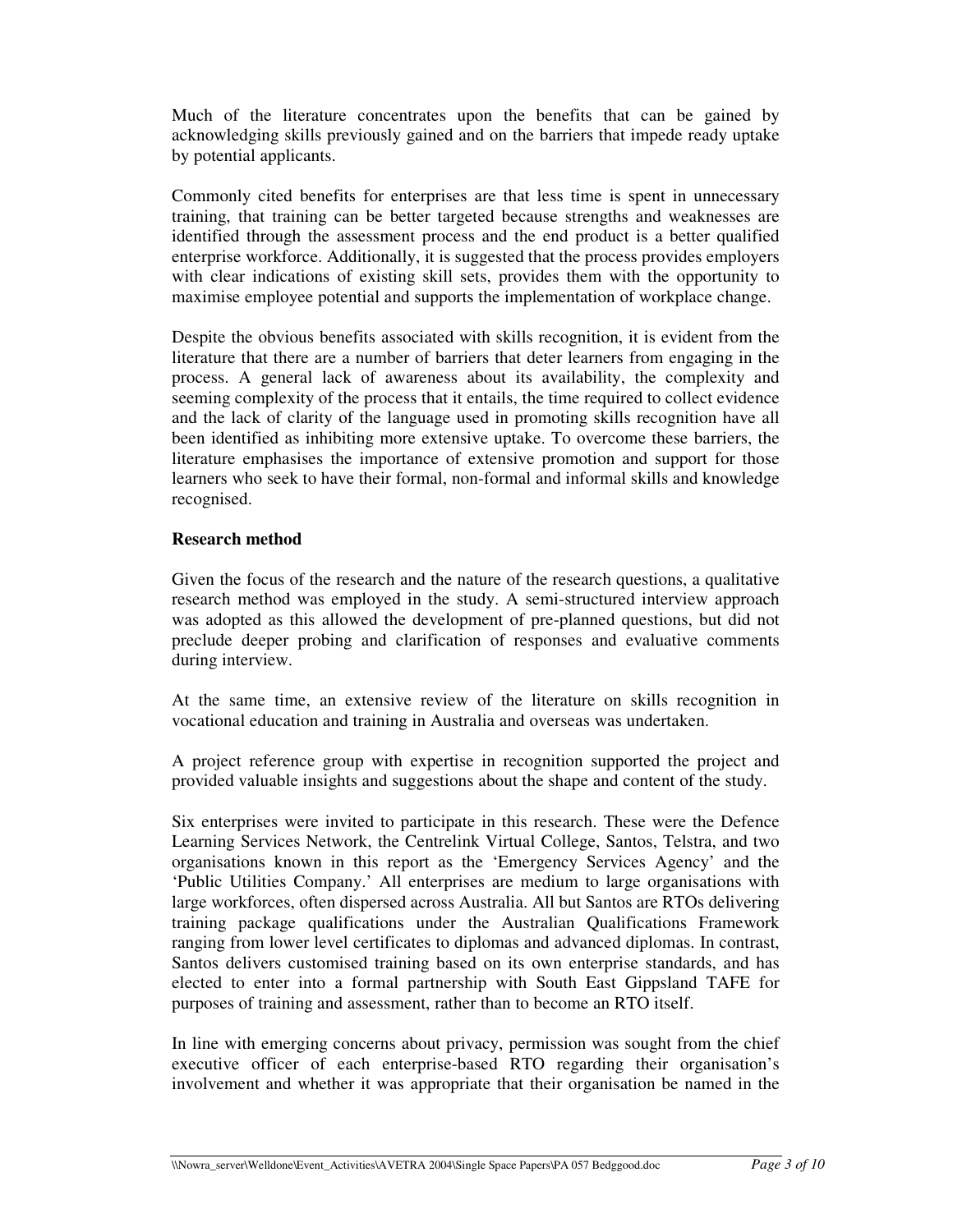Much of the literature concentrates upon the benefits that can be gained by acknowledging skills previously gained and on the barriers that impede ready uptake by potential applicants.

Commonly cited benefits for enterprises are that less time is spent in unnecessary training, that training can be better targeted because strengths and weaknesses are identified through the assessment process and the end product is a better qualified enterprise workforce. Additionally, it is suggested that the process provides employers with clear indications of existing skill sets, provides them with the opportunity to maximise employee potential and supports the implementation of workplace change.

Despite the obvious benefits associated with skills recognition, it is evident from the literature that there are a number of barriers that deter learners from engaging in the process. A general lack of awareness about its availability, the complexity and seeming complexity of the process that it entails, the time required to collect evidence and the lack of clarity of the language used in promoting skills recognition have all been identified as inhibiting more extensive uptake. To overcome these barriers, the literature emphasises the importance of extensive promotion and support for those learners who seek to have their formal, non-formal and informal skills and knowledge recognised.

### **Research method**

Given the focus of the research and the nature of the research questions, a qualitative research method was employed in the study. A semi-structured interview approach was adopted as this allowed the development of pre-planned questions, but did not preclude deeper probing and clarification of responses and evaluative comments during interview.

At the same time, an extensive review of the literature on skills recognition in vocational education and training in Australia and overseas was undertaken.

A project reference group with expertise in recognition supported the project and provided valuable insights and suggestions about the shape and content of the study.

Six enterprises were invited to participate in this research. These were the Defence Learning Services Network, the Centrelink Virtual College, Santos, Telstra, and two organisations known in this report as the 'Emergency Services Agency' and the 'Public Utilities Company.' All enterprises are medium to large organisations with large workforces, often dispersed across Australia. All but Santos are RTOs delivering training package qualifications under the Australian Qualifications Framework ranging from lower level certificates to diplomas and advanced diplomas. In contrast, Santos delivers customised training based on its own enterprise standards, and has elected to enter into a formal partnership with South East Gippsland TAFE for purposes of training and assessment, rather than to become an RTO itself.

In line with emerging concerns about privacy, permission was sought from the chief executive officer of each enterprise-based RTO regarding their organisation's involvement and whether it was appropriate that their organisation be named in the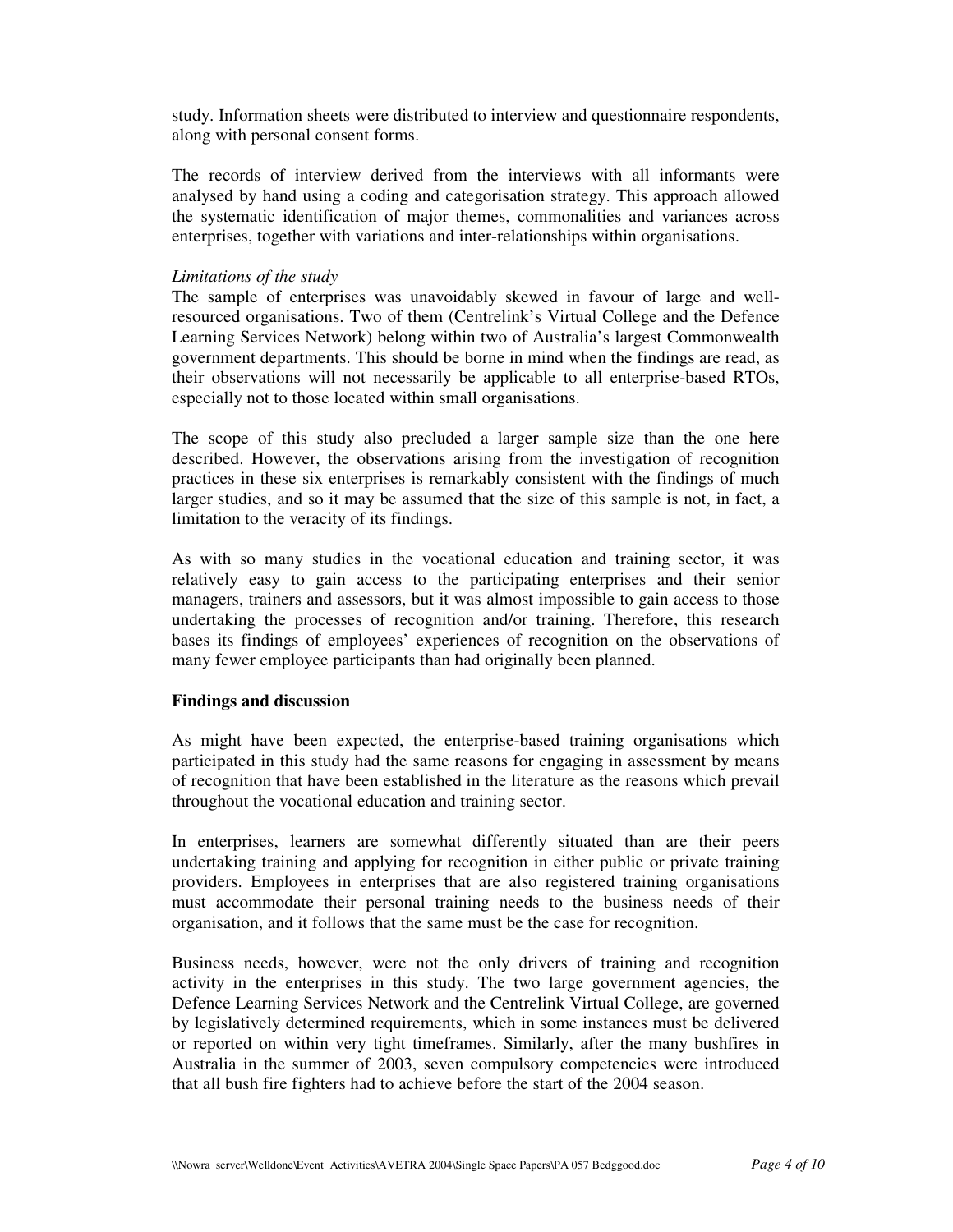study. Information sheets were distributed to interview and questionnaire respondents, along with personal consent forms.

The records of interview derived from the interviews with all informants were analysed by hand using a coding and categorisation strategy. This approach allowed the systematic identification of major themes, commonalities and variances across enterprises, together with variations and inter-relationships within organisations.

### *Limitations of the study*

The sample of enterprises was unavoidably skewed in favour of large and wellresourced organisations. Two of them (Centrelink's Virtual College and the Defence Learning Services Network) belong within two of Australia's largest Commonwealth government departments. This should be borne in mind when the findings are read, as their observations will not necessarily be applicable to all enterprise-based RTOs, especially not to those located within small organisations.

The scope of this study also precluded a larger sample size than the one here described. However, the observations arising from the investigation of recognition practices in these six enterprises is remarkably consistent with the findings of much larger studies, and so it may be assumed that the size of this sample is not, in fact, a limitation to the veracity of its findings.

As with so many studies in the vocational education and training sector, it was relatively easy to gain access to the participating enterprises and their senior managers, trainers and assessors, but it was almost impossible to gain access to those undertaking the processes of recognition and/or training. Therefore, this research bases its findings of employees' experiences of recognition on the observations of many fewer employee participants than had originally been planned.

# **Findings and discussion**

As might have been expected, the enterprise-based training organisations which participated in this study had the same reasons for engaging in assessment by means of recognition that have been established in the literature as the reasons which prevail throughout the vocational education and training sector.

In enterprises, learners are somewhat differently situated than are their peers undertaking training and applying for recognition in either public or private training providers. Employees in enterprises that are also registered training organisations must accommodate their personal training needs to the business needs of their organisation, and it follows that the same must be the case for recognition.

Business needs, however, were not the only drivers of training and recognition activity in the enterprises in this study. The two large government agencies, the Defence Learning Services Network and the Centrelink Virtual College, are governed by legislatively determined requirements, which in some instances must be delivered or reported on within very tight timeframes. Similarly, after the many bushfires in Australia in the summer of 2003, seven compulsory competencies were introduced that all bush fire fighters had to achieve before the start of the 2004 season.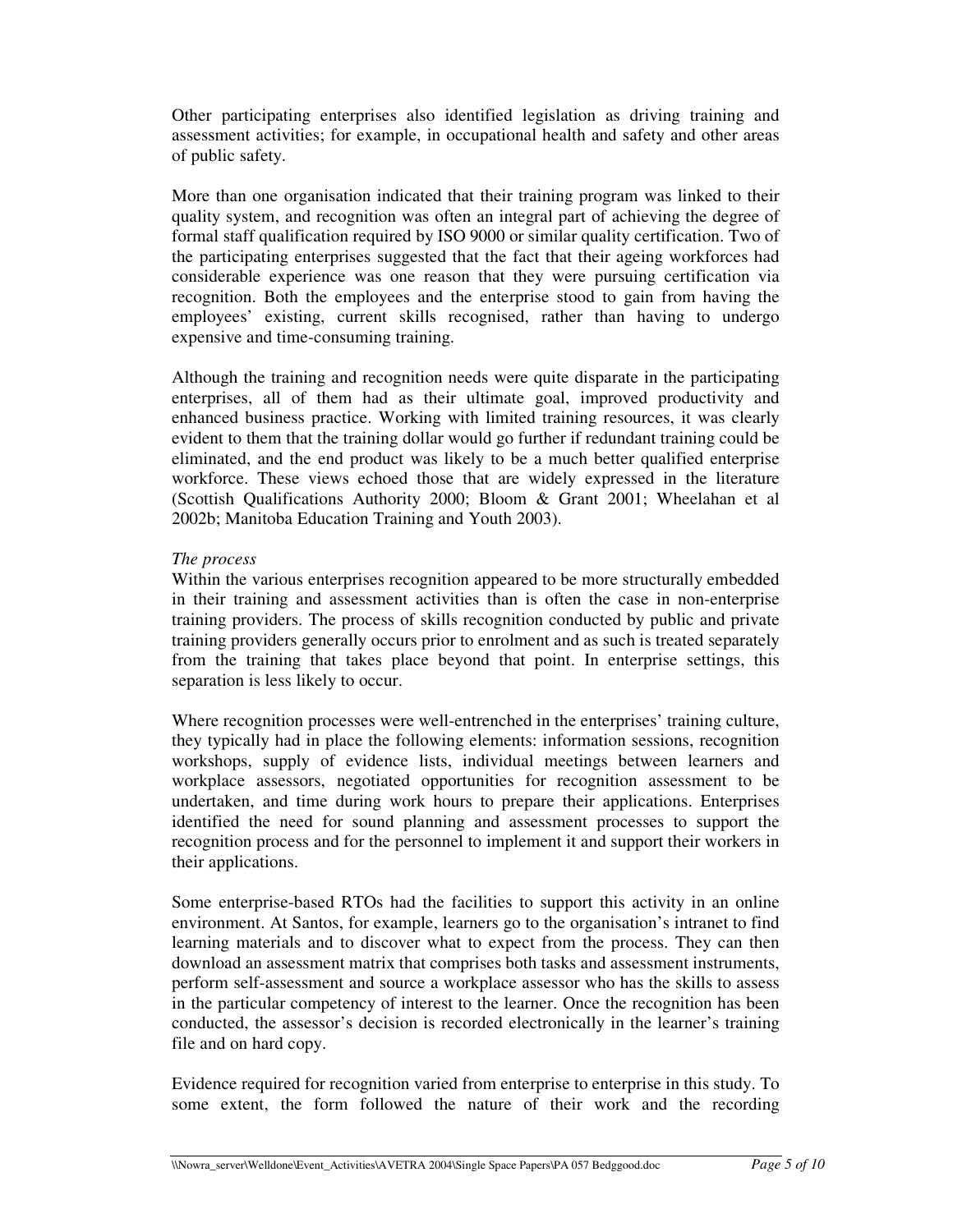Other participating enterprises also identified legislation as driving training and assessment activities; for example, in occupational health and safety and other areas of public safety.

More than one organisation indicated that their training program was linked to their quality system, and recognition was often an integral part of achieving the degree of formal staff qualification required by ISO 9000 or similar quality certification. Two of the participating enterprises suggested that the fact that their ageing workforces had considerable experience was one reason that they were pursuing certification via recognition. Both the employees and the enterprise stood to gain from having the employees' existing, current skills recognised, rather than having to undergo expensive and time-consuming training.

Although the training and recognition needs were quite disparate in the participating enterprises, all of them had as their ultimate goal, improved productivity and enhanced business practice. Working with limited training resources, it was clearly evident to them that the training dollar would go further if redundant training could be eliminated, and the end product was likely to be a much better qualified enterprise workforce. These views echoed those that are widely expressed in the literature (Scottish Qualifications Authority 2000; Bloom & Grant 2001; Wheelahan et al 2002b; Manitoba Education Training and Youth 2003).

### *The process*

Within the various enterprises recognition appeared to be more structurally embedded in their training and assessment activities than is often the case in non-enterprise training providers. The process of skills recognition conducted by public and private training providers generally occurs prior to enrolment and as such is treated separately from the training that takes place beyond that point. In enterprise settings, this separation is less likely to occur.

Where recognition processes were well-entrenched in the enterprises' training culture, they typically had in place the following elements: information sessions, recognition workshops, supply of evidence lists, individual meetings between learners and workplace assessors, negotiated opportunities for recognition assessment to be undertaken, and time during work hours to prepare their applications. Enterprises identified the need for sound planning and assessment processes to support the recognition process and for the personnel to implement it and support their workers in their applications.

Some enterprise-based RTOs had the facilities to support this activity in an online environment. At Santos, for example, learners go to the organisation's intranet to find learning materials and to discover what to expect from the process. They can then download an assessment matrix that comprises both tasks and assessment instruments, perform self-assessment and source a workplace assessor who has the skills to assess in the particular competency of interest to the learner. Once the recognition has been conducted, the assessor's decision is recorded electronically in the learner's training file and on hard copy.

Evidence required for recognition varied from enterprise to enterprise in this study. To some extent, the form followed the nature of their work and the recording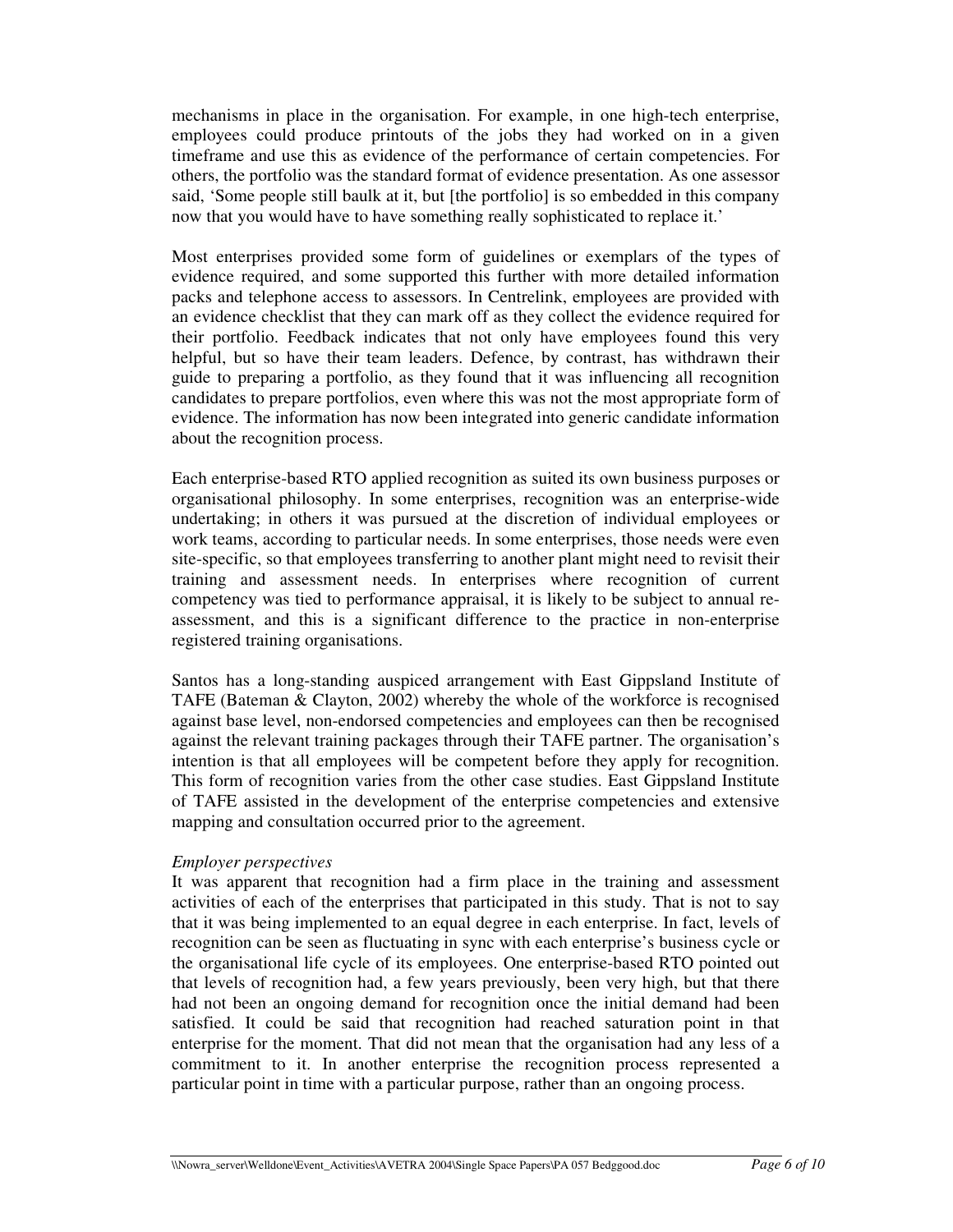mechanisms in place in the organisation. For example, in one high-tech enterprise, employees could produce printouts of the jobs they had worked on in a given timeframe and use this as evidence of the performance of certain competencies. For others, the portfolio was the standard format of evidence presentation. As one assessor said, 'Some people still baulk at it, but [the portfolio] is so embedded in this company now that you would have to have something really sophisticated to replace it.'

Most enterprises provided some form of guidelines or exemplars of the types of evidence required, and some supported this further with more detailed information packs and telephone access to assessors. In Centrelink, employees are provided with an evidence checklist that they can mark off as they collect the evidence required for their portfolio. Feedback indicates that not only have employees found this very helpful, but so have their team leaders. Defence, by contrast, has withdrawn their guide to preparing a portfolio, as they found that it was influencing all recognition candidates to prepare portfolios, even where this was not the most appropriate form of evidence. The information has now been integrated into generic candidate information about the recognition process.

Each enterprise-based RTO applied recognition as suited its own business purposes or organisational philosophy. In some enterprises, recognition was an enterprise-wide undertaking; in others it was pursued at the discretion of individual employees or work teams, according to particular needs. In some enterprises, those needs were even site-specific, so that employees transferring to another plant might need to revisit their training and assessment needs. In enterprises where recognition of current competency was tied to performance appraisal, it is likely to be subject to annual reassessment, and this is a significant difference to the practice in non-enterprise registered training organisations.

Santos has a long-standing auspiced arrangement with East Gippsland Institute of TAFE (Bateman & Clayton, 2002) whereby the whole of the workforce is recognised against base level, non-endorsed competencies and employees can then be recognised against the relevant training packages through their TAFE partner. The organisation's intention is that all employees will be competent before they apply for recognition. This form of recognition varies from the other case studies. East Gippsland Institute of TAFE assisted in the development of the enterprise competencies and extensive mapping and consultation occurred prior to the agreement.

### *Employer perspectives*

It was apparent that recognition had a firm place in the training and assessment activities of each of the enterprises that participated in this study. That is not to say that it was being implemented to an equal degree in each enterprise. In fact, levels of recognition can be seen as fluctuating in sync with each enterprise's business cycle or the organisational life cycle of its employees. One enterprise-based RTO pointed out that levels of recognition had, a few years previously, been very high, but that there had not been an ongoing demand for recognition once the initial demand had been satisfied. It could be said that recognition had reached saturation point in that enterprise for the moment. That did not mean that the organisation had any less of a commitment to it. In another enterprise the recognition process represented a particular point in time with a particular purpose, rather than an ongoing process.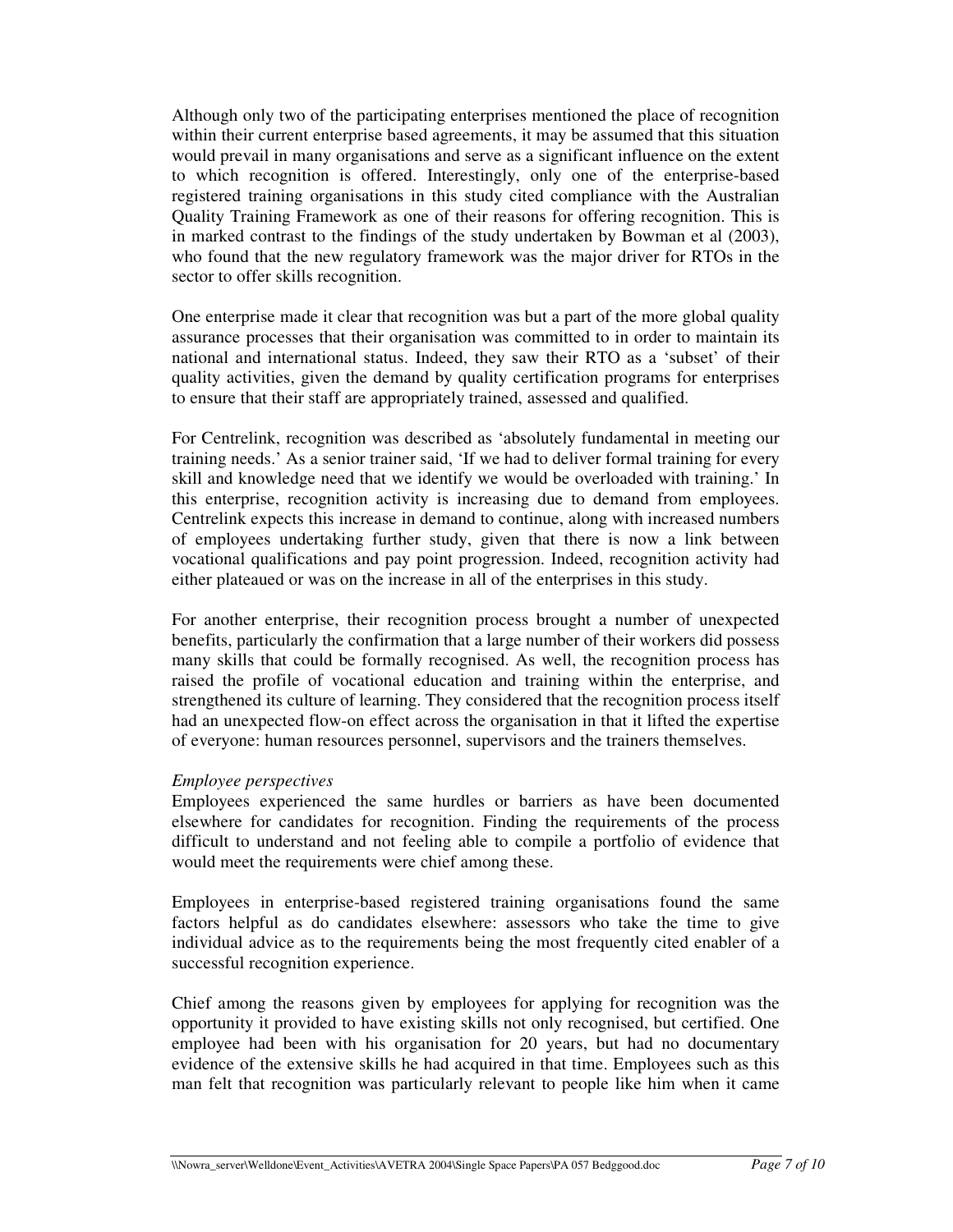Although only two of the participating enterprises mentioned the place of recognition within their current enterprise based agreements, it may be assumed that this situation would prevail in many organisations and serve as a significant influence on the extent to which recognition is offered. Interestingly, only one of the enterprise-based registered training organisations in this study cited compliance with the Australian Quality Training Framework as one of their reasons for offering recognition. This is in marked contrast to the findings of the study undertaken by Bowman et al (2003), who found that the new regulatory framework was the major driver for RTOs in the sector to offer skills recognition.

One enterprise made it clear that recognition was but a part of the more global quality assurance processes that their organisation was committed to in order to maintain its national and international status. Indeed, they saw their RTO as a 'subset' of their quality activities, given the demand by quality certification programs for enterprises to ensure that their staff are appropriately trained, assessed and qualified.

For Centrelink, recognition was described as 'absolutely fundamental in meeting our training needs.' As a senior trainer said, 'If we had to deliver formal training for every skill and knowledge need that we identify we would be overloaded with training.' In this enterprise, recognition activity is increasing due to demand from employees. Centrelink expects this increase in demand to continue, along with increased numbers of employees undertaking further study, given that there is now a link between vocational qualifications and pay point progression. Indeed, recognition activity had either plateaued or was on the increase in all of the enterprises in this study.

For another enterprise, their recognition process brought a number of unexpected benefits, particularly the confirmation that a large number of their workers did possess many skills that could be formally recognised. As well, the recognition process has raised the profile of vocational education and training within the enterprise, and strengthened its culture of learning. They considered that the recognition process itself had an unexpected flow-on effect across the organisation in that it lifted the expertise of everyone: human resources personnel, supervisors and the trainers themselves.

### *Employee perspectives*

Employees experienced the same hurdles or barriers as have been documented elsewhere for candidates for recognition. Finding the requirements of the process difficult to understand and not feeling able to compile a portfolio of evidence that would meet the requirements were chief among these.

Employees in enterprise-based registered training organisations found the same factors helpful as do candidates elsewhere: assessors who take the time to give individual advice as to the requirements being the most frequently cited enabler of a successful recognition experience.

Chief among the reasons given by employees for applying for recognition was the opportunity it provided to have existing skills not only recognised, but certified. One employee had been with his organisation for 20 years, but had no documentary evidence of the extensive skills he had acquired in that time. Employees such as this man felt that recognition was particularly relevant to people like him when it came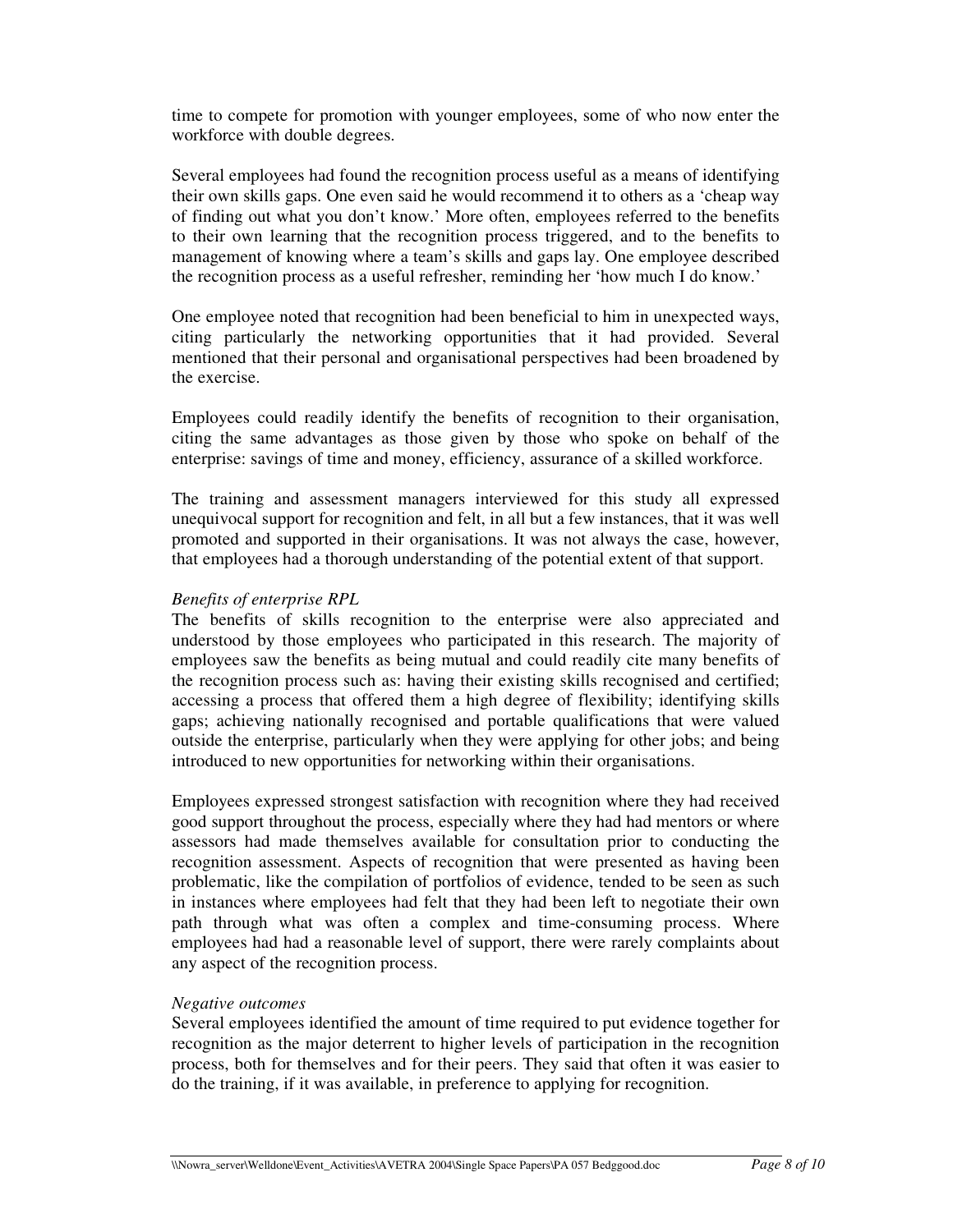time to compete for promotion with younger employees, some of who now enter the workforce with double degrees.

Several employees had found the recognition process useful as a means of identifying their own skills gaps. One even said he would recommend it to others as a 'cheap way of finding out what you don't know.' More often, employees referred to the benefits to their own learning that the recognition process triggered, and to the benefits to management of knowing where a team's skills and gaps lay. One employee described the recognition process as a useful refresher, reminding her 'how much I do know.'

One employee noted that recognition had been beneficial to him in unexpected ways, citing particularly the networking opportunities that it had provided. Several mentioned that their personal and organisational perspectives had been broadened by the exercise.

Employees could readily identify the benefits of recognition to their organisation, citing the same advantages as those given by those who spoke on behalf of the enterprise: savings of time and money, efficiency, assurance of a skilled workforce.

The training and assessment managers interviewed for this study all expressed unequivocal support for recognition and felt, in all but a few instances, that it was well promoted and supported in their organisations. It was not always the case, however, that employees had a thorough understanding of the potential extent of that support.

#### *Benefits of enterprise RPL*

The benefits of skills recognition to the enterprise were also appreciated and understood by those employees who participated in this research. The majority of employees saw the benefits as being mutual and could readily cite many benefits of the recognition process such as: having their existing skills recognised and certified; accessing a process that offered them a high degree of flexibility; identifying skills gaps; achieving nationally recognised and portable qualifications that were valued outside the enterprise, particularly when they were applying for other jobs; and being introduced to new opportunities for networking within their organisations.

Employees expressed strongest satisfaction with recognition where they had received good support throughout the process, especially where they had had mentors or where assessors had made themselves available for consultation prior to conducting the recognition assessment. Aspects of recognition that were presented as having been problematic, like the compilation of portfolios of evidence, tended to be seen as such in instances where employees had felt that they had been left to negotiate their own path through what was often a complex and time-consuming process. Where employees had had a reasonable level of support, there were rarely complaints about any aspect of the recognition process.

#### *Negative outcomes*

Several employees identified the amount of time required to put evidence together for recognition as the major deterrent to higher levels of participation in the recognition process, both for themselves and for their peers. They said that often it was easier to do the training, if it was available, in preference to applying for recognition.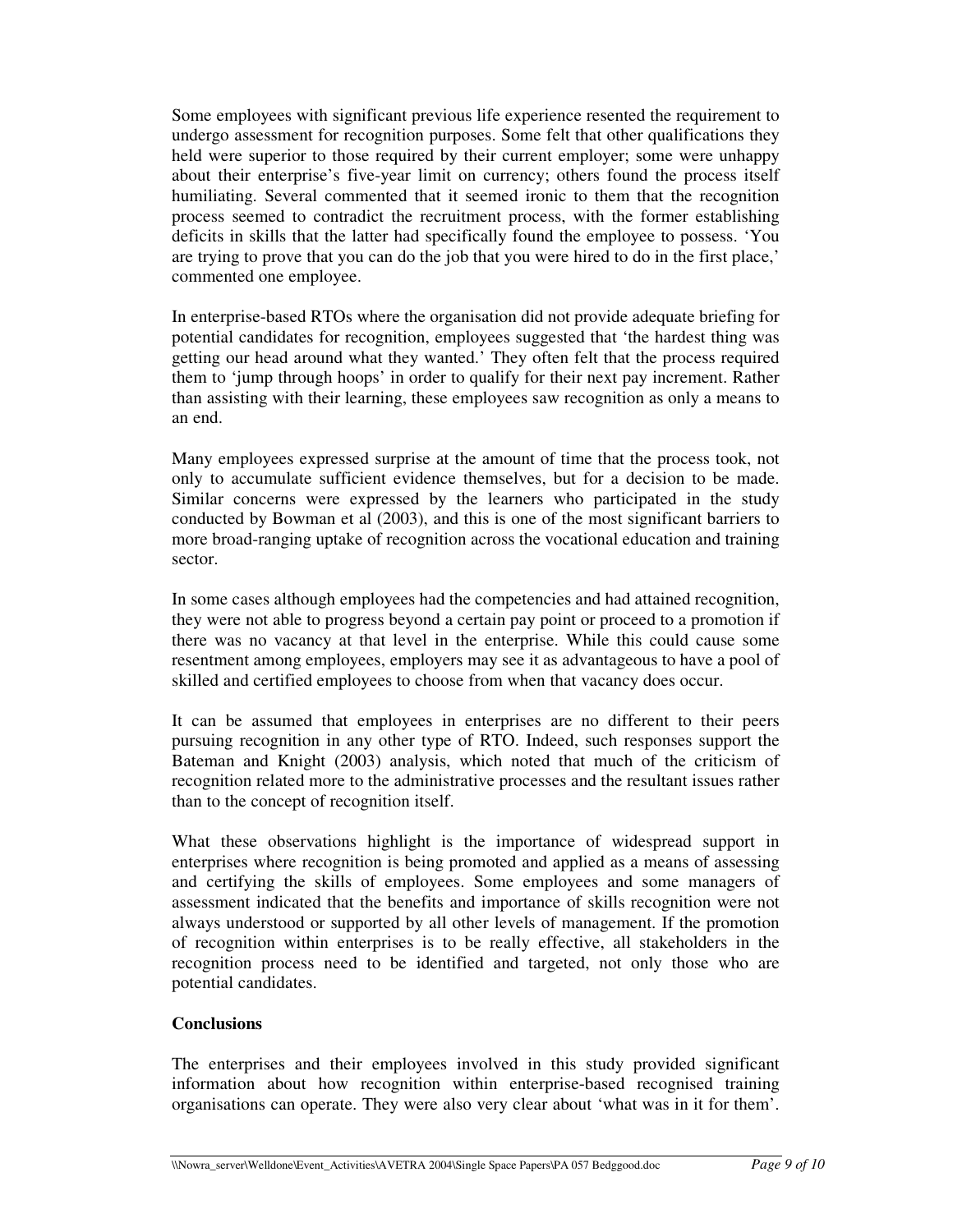Some employees with significant previous life experience resented the requirement to undergo assessment for recognition purposes. Some felt that other qualifications they held were superior to those required by their current employer; some were unhappy about their enterprise's five-year limit on currency; others found the process itself humiliating. Several commented that it seemed ironic to them that the recognition process seemed to contradict the recruitment process, with the former establishing deficits in skills that the latter had specifically found the employee to possess. 'You are trying to prove that you can do the job that you were hired to do in the first place,' commented one employee.

In enterprise-based RTOs where the organisation did not provide adequate briefing for potential candidates for recognition, employees suggested that 'the hardest thing was getting our head around what they wanted.' They often felt that the process required them to 'jump through hoops' in order to qualify for their next pay increment. Rather than assisting with their learning, these employees saw recognition as only a means to an end.

Many employees expressed surprise at the amount of time that the process took, not only to accumulate sufficient evidence themselves, but for a decision to be made. Similar concerns were expressed by the learners who participated in the study conducted by Bowman et al (2003), and this is one of the most significant barriers to more broad-ranging uptake of recognition across the vocational education and training sector.

In some cases although employees had the competencies and had attained recognition, they were not able to progress beyond a certain pay point or proceed to a promotion if there was no vacancy at that level in the enterprise. While this could cause some resentment among employees, employers may see it as advantageous to have a pool of skilled and certified employees to choose from when that vacancy does occur.

It can be assumed that employees in enterprises are no different to their peers pursuing recognition in any other type of RTO. Indeed, such responses support the Bateman and Knight (2003) analysis, which noted that much of the criticism of recognition related more to the administrative processes and the resultant issues rather than to the concept of recognition itself.

What these observations highlight is the importance of widespread support in enterprises where recognition is being promoted and applied as a means of assessing and certifying the skills of employees. Some employees and some managers of assessment indicated that the benefits and importance of skills recognition were not always understood or supported by all other levels of management. If the promotion of recognition within enterprises is to be really effective, all stakeholders in the recognition process need to be identified and targeted, not only those who are potential candidates.

### **Conclusions**

The enterprises and their employees involved in this study provided significant information about how recognition within enterprise-based recognised training organisations can operate. They were also very clear about 'what was in it for them'.